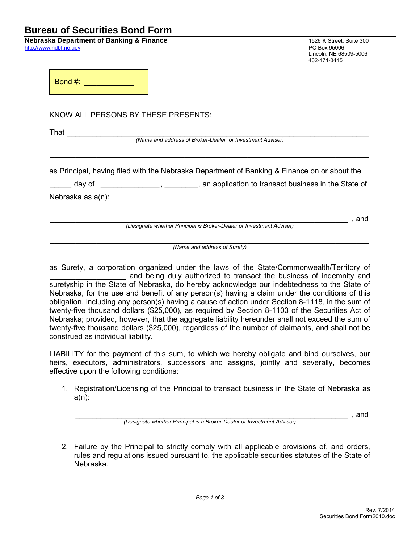## **Bureau of Securities Bond Form**

**Nebraska Department of Banking & Finance** 1526 K Street, Suite 300<br>
http://www.ndbf.ne.gov<br>
PO Box 95006 [http://www.ndbf.ne.gov](http://www.ndbf.ne.gov/)

Lincoln, NE 68509-5006 402-471-3445

\_\_\_\_\_\_\_\_\_\_\_\_\_\_\_\_\_\_\_\_\_\_\_\_\_\_\_\_\_\_\_\_\_\_\_\_\_\_\_\_\_\_\_\_\_\_\_\_\_\_\_\_\_\_\_\_\_\_\_\_\_\_\_\_\_\_\_\_\_\_\_ , and

Bond #: \_\_\_\_\_\_\_\_\_\_\_\_\_\_

KNOW ALL PERSONS BY THESE PRESENTS:

 $\mathsf{That}$ 

*(Name and address of Broker-Dealer or Investment Adviser)*

\_\_\_\_\_\_\_\_\_\_\_\_\_\_\_\_\_\_\_\_\_\_\_\_\_\_\_\_\_\_\_\_\_\_\_\_\_\_\_\_\_\_\_\_\_\_\_\_\_\_\_\_\_\_\_\_\_\_\_\_\_\_\_\_\_\_\_\_\_\_\_\_\_\_\_\_

as Principal, having filed with the Nebraska Department of Banking & Finance on or about the

day of \_\_\_\_\_\_\_\_\_\_\_\_\_\_, \_\_\_\_\_\_\_\_, an application to transact business in the State of

Nebraska as a(n):

*(Designate whether Principal is Broker-Dealer or Investment Adviser)*

\_\_\_\_\_\_\_\_\_\_\_\_\_\_\_\_\_\_\_\_\_\_\_\_\_\_\_\_\_\_\_\_\_\_\_\_\_\_\_\_\_\_\_\_\_\_\_\_\_\_\_\_\_\_\_\_\_\_\_\_\_\_\_\_\_\_\_\_\_\_\_\_\_\_\_\_ *(Name and address of Surety)*

as Surety, a corporation organized under the laws of the State/Commonwealth/Territory of and being duly authorized to transact the business of indemnity and suretyship in the State of Nebraska, do hereby acknowledge our indebtedness to the State of Nebraska, for the use and benefit of any person(s) having a claim under the conditions of this obligation, including any person(s) having a cause of action under Section 8-1118, in the sum of twenty-five thousand dollars (\$25,000), as required by Section 8-1103 of the Securities Act of Nebraska; provided, however, that the aggregate liability hereunder shall not exceed the sum of twenty-five thousand dollars (\$25,000), regardless of the number of claimants, and shall not be construed as individual liability.

LIABILITY for the payment of this sum, to which we hereby obligate and bind ourselves, our heirs, executors, administrators, successors and assigns, jointly and severally, becomes effective upon the following conditions:

1. Registration/Licensing of the Principal to transact business in the State of Nebraska as a(n):

\_\_\_\_\_\_\_\_\_\_\_\_\_\_\_\_\_\_\_\_\_\_\_\_\_\_\_\_\_\_\_\_\_\_\_\_\_\_\_\_\_\_\_\_\_\_\_\_\_\_\_\_\_\_\_\_\_\_\_\_\_\_\_\_\_ , and *(Designate whether Principal is a Broker-Dealer or Investment Adviser)*

2. Failure by the Principal to strictly comply with all applicable provisions of, and orders, rules and regulations issued pursuant to, the applicable securities statutes of the State of Nebraska.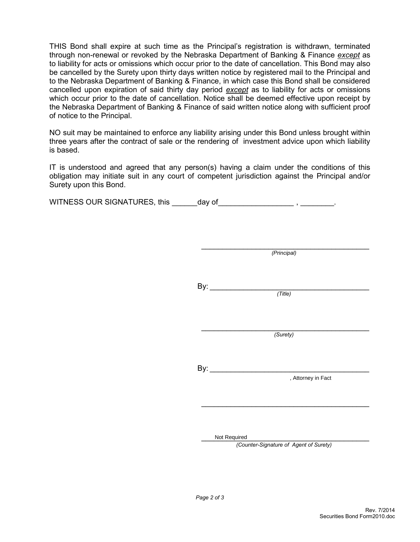THIS Bond shall expire at such time as the Principal's registration is withdrawn, terminated through non-renewal or revoked by the Nebraska Department of Banking & Finance *except* as to liability for acts or omissions which occur prior to the date of cancellation. This Bond may also be cancelled by the Surety upon thirty days written notice by registered mail to the Principal and to the Nebraska Department of Banking & Finance, in which case this Bond shall be considered cancelled upon expiration of said thirty day period *except* as to liability for acts or omissions which occur prior to the date of cancellation. Notice shall be deemed effective upon receipt by the Nebraska Department of Banking & Finance of said written notice along with sufficient proof of notice to the Principal.

NO suit may be maintained to enforce any liability arising under this Bond unless brought within three years after the contract of sale or the rendering of investment advice upon which liability is based.

IT is understood and agreed that any person(s) having a claim under the conditions of this obligation may initiate suit in any court of competent jurisdiction against the Principal and/or Surety upon this Bond.

WITNESS OUR SIGNATURES, this \_\_\_\_\_\_day of \_\_\_\_\_\_\_\_\_\_\_\_\_\_\_\_\_\_\_\_\_\_\_ , \_\_\_\_\_\_\_\_\_.

 $\frac{1}{2}$  , and the set of the set of the set of the set of the set of the set of the set of the set of the set of the set of the set of the set of the set of the set of the set of the set of the set of the set of the set *(Principal)*

 $By:$ 

*(Title)*

\_\_\_\_\_\_\_\_\_\_\_\_\_\_\_\_\_\_\_\_\_\_\_\_\_\_\_\_\_\_\_\_\_\_\_\_\_\_\_\_ *(Surety)*

 $\mathsf{B} \mathsf{v}$ :

, Attorney in Fact<br>
,<br>
Not Required<br>
,

Not Required

*(Counter-Signature of Agent of Surety)*

\_\_\_\_\_\_\_\_\_\_\_\_\_\_\_\_\_\_\_\_\_\_\_\_\_\_\_\_\_\_\_\_\_\_\_\_\_\_\_\_